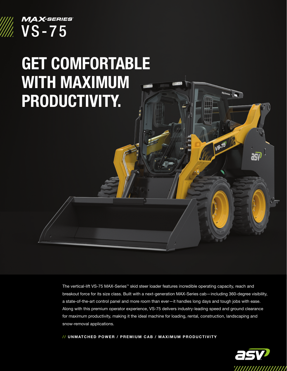

## GET COMFORTABLE WITH MAXIMUM PRODUCTIVITY.

The vertical-lift VS-75 MAX-Series™ skid steer loader features incredible operating capacity, reach and breakout force for its size class. Built with a next-generation MAX-Series cab—including 360-degree visibility, a state-of-the-art control panel and more room than ever—it handles long days and tough jobs with ease. Along with this premium operator experience, VS-75 delivers industry-leading speed and ground clearance for maximum productivity, making it the ideal machine for loading, rental, construction, landscaping and snow-removal applications.

// UNMATCHED POWER / PREMIUM CAB / MAXIMUM PRODUCTIVITY



**VS-75**